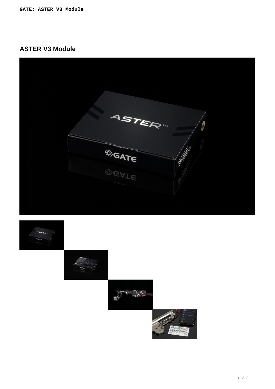# **ASTER V3 Module**



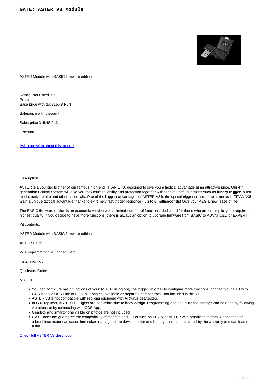

ASTER Module with BASIC firmware edition

Rating: Not Rated Yet **Price**  Base price with tax 315,48 PLN

Salesprice with discount

Sales price 315,48 PLN

**Discount** 

[Ask a question about this product](https://gatee.eu/index.php?option=com_virtuemart&view=productdetails&task=askquestion&virtuemart_product_id=69&virtuemart_category_id=1&tmpl=component)

#### Description

ASTER is a younger brother of our famous high-end TITAN ETU, designed to give you a tactical advantage at an attractive price. Our 4th generation Control System will give you maximum reliability and protection together with tons of useful functions such as **binary trigger**, burst mode, active brake and other essentials. One of the biggest advantages of ASTER V3 is the optical trigger sensor - the same as in TITAN V3! Gain a unique tactical advantage thanks to extremely fast trigger response - **up to 6 milliseconds**! Give your AEG a new lease of life!

The BASIC firmware edition is an economic version with a limited number of functions, dedicated for those who prefer simplicity but require the highest quality. If you decide to have more functions, there is always an option to upgrade firmware from BASIC to ADVANCED or EXPERT.

Kit contents:

ASTER Module with BASIC firmware edition

ASTER Patch

2x 'Programming via Trigger' Card

Installation Kit

#### Quickstart Guide

NOTICE!

- You can configure basic functions of your ASTER using only the trigger. In order to configure more functions, connect your ETU with GCS App via USB-Link or Blu-Link dongles, available as separate components - not included in this kit.
- ASTER V3 is not compatible with replicas equipped with Arcturus gearboxes.
- In G36 replicas, ASTER LED lights are not visible due to body design. Programming and adjusting the settings can be done by following vibrations or by connecting with GCS App.
- Gearbox and smartphone visible on photos are not included.
- GATE does not guarantee the compatibility of mosfets and ETUs such as TITAN or ASTER with brushless motors. Connection of a brushless motor can cause immediate damage to the device, motor and battery, that is not covered by the warranty and can lead to a fire.

### [Check full ASTER V3 description](products/aster/aster-v3)